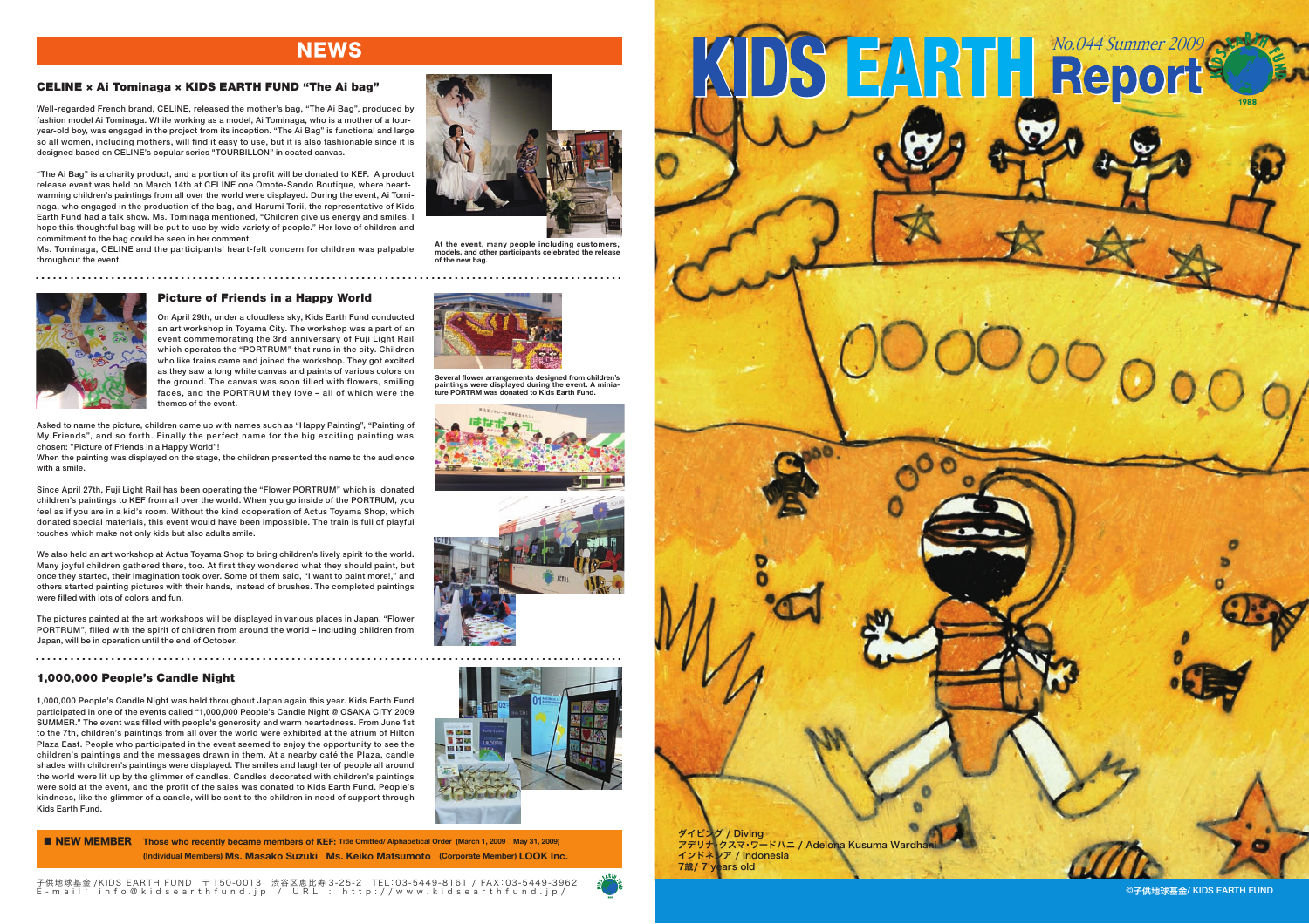# **NEWS**

# CELINE × Ai Tominaga × KIDS EARTH FUND "The Ai bag"

Well-regarded French brand, CELINE, released the mother's bag, "The Ai Bag", produced by fashion model Ai Tominaga. While working as a model, Ai Tominaga, who is a mother of a fouryear-old boy, was engaged in the project from its inception. "The Ai Bag" is functional and large so all women, including mothers, will find it easy to use, but it is also fashionable since it is designed based on CELINE's popular series "TOURBILLON" in coated canvas.

"The Ai Bag" is a charity product, and a portion of its profit will be donated to KEF. A product release event was held on March 14th at CELINE one Omote-Sando Boutique, where heartwarming children's paintings from all over the world were displayed. During the event, Ai Tominaga, who engaged in the production of the bag, and Harumi Torii, the representative of Kids Earth Fund had a talk show. Ms. Tominaga mentioned, "Children give us energy and smiles. I hope this thoughtful bag will be put to use by wide variety of people." Her love of children and commitment to the bag could be seen in her comment.

Ms. Tominaga, CELINE and the participants' heart-felt concern for children was palpable throughout the event.



**At the event, many people including customers, models, and other participants celebrated the release of the new bag.**

**Several flower arrangements designed from children's paintings were displayed during the event. A miniature PORTRM was donated to Kids Earth Fund.**

# Picture of Friends in a Happy World

On April 29th, under a cloudless sky, Kids Earth Fund conducted an art workshop in Toyama City. The workshop was a part of an event commemorating the 3rd anniversary of Fuji Light Rail which operates the "PORTRUM" that runs in the city. Children who like trains came and joined the workshop. They got excited as they saw a long white canvas and paints of various colors on the ground. The canvas was soon filled with flowers, smiling faces, and the PORTRUM they love – all of which were the themes of the event.

Asked to name the picture, children came up with names such as "Happy Painting", "Painting of My Friends", and so forth. Finally the perfect name for the big exciting painting was chosen: "Picture of Friends in a Happy World"!

When the painting was displayed on the stage, the children presented the name to the audience with a smile.

Since April 27th, Fuji Light Rail has been operating the "Flower PORTRUM" which is donated children's paintings to KEF from all over the world. When you go inside of the PORTRUM, you feel as if you are in a kid's room. Without the kind cooperation of Actus Toyama Shop, which donated special materials, this event would have been impossible. The train is full of playful touches which make not only kids but also adults smile.

We also held an art workshop at Actus Toyama Shop to bring children's lively spirit to the world. Many joyful children gathered there, too. At first they wondered what they should paint, but once they started, their imagination took over. Some of them said, "I want to paint more!," and others started painting pictures with their hands, instead of brushes. The completed paintings were filled with lots of colors and fun.

The pictures painted at the art workshops will be displayed in various places in Japan. "Flower PORTRUM", filled with the spirit of children from around the world – including children from Japan, will be in operation until the end of October.

# 1,000,000 People's Candle Night

1,000,000 People's Candle Night was held throughout Japan again this year. Kids Earth Fund participated in one of the events called "1,000,000 People's Candle Night @ OSAKA CITY 2009 SUMMER." The event was filled with people's generosity and warm heartedness. From June 1st to the 7th, children's paintings from all over the world were exhibited at the atrium of Hilton Plaza East. People who participated in the event seemed to enjoy the opportunity to see the children's paintings and the messages drawn in them. At a nearby café the Plaza, candle shades with children's paintings were displayed. The smiles and laughter of people all around the world were lit up by the glimmer of candles. Candles decorated with children's paintings were sold at the event, and the profit of the sales was donated to Kids Earth Fund. People's kindness, like the glimmer of a candle, will be sent to the children in need of support through Kids Earth Fund.

■ NEW MEMBER Those who recently became members of KEF: Title Omitted/ Alphabetical Order (March 1, 2009 **ĐMay 31, 2009**) **(Individual Members) Ms. Masako Suzuki [Ms. Keiko Matsumoto** (Corporate Member) LOOK Inc.









KDS EARTH No.044 Summer 2009

子供地球基金 /KIDS EARTH FUND 〒 150-0013 渋谷区恵比寿 3-25-2 TEL:03-5449-8161 / FAX:03-5449-3962 E-mail: info@kidsearthfund.jp / URL : http://www.kidsearthfund.jp/